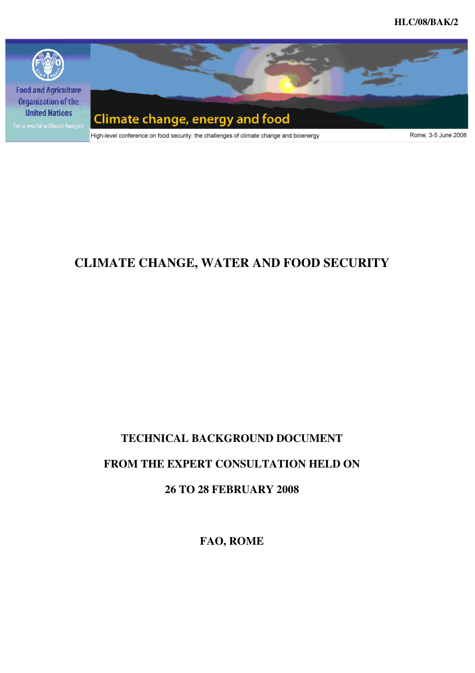

# **CLIMATE CHANGE, WATER AND FOOD SECURITY**

# **TECHNICAL BACKGROUND DOCUMENT**

# **FROM THE EXPERT CONSULTATION HELD ON**

**26 TO 28 FEBRUARY 2008** 

**FAO, ROME**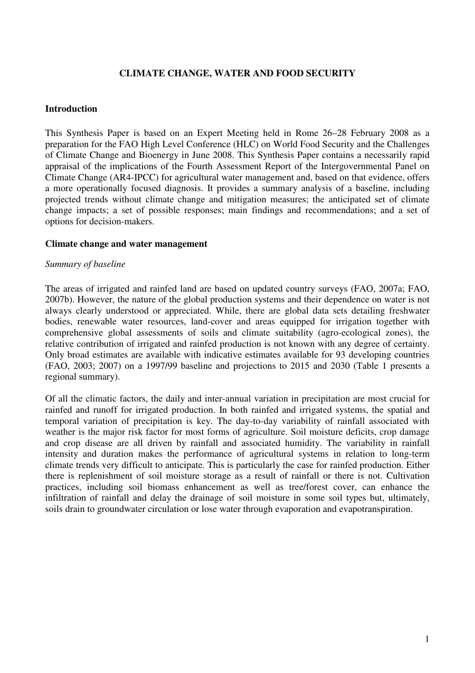## **CLIMATE CHANGE, WATER AND FOOD SECURITY**

#### **Introduction**

This Synthesis Paper is based on an Expert Meeting held in Rome 26–28 February 2008 as a preparation for the FAO High Level Conference (HLC) on World Food Security and the Challenges of Climate Change and Bioenergy in June 2008. This Synthesis Paper contains a necessarily rapid appraisal of the implications of the Fourth Assessment Report of the Intergovernmental Panel on Climate Change (AR4-IPCC) for agricultural water management and, based on that evidence, offers a more operationally focused diagnosis. It provides a summary analysis of a baseline, including projected trends without climate change and mitigation measures; the anticipated set of climate change impacts; a set of possible responses; main findings and recommendations; and a set of options for decision-makers.

#### **Climate change and water management**

#### *Summary of baseline*

The areas of irrigated and rainfed land are based on updated country surveys (FAO, 2007a; FAO, 2007b). However, the nature of the global production systems and their dependence on water is not always clearly understood or appreciated. While, there are global data sets detailing freshwater bodies, renewable water resources, land-cover and areas equipped for irrigation together with comprehensive global assessments of soils and climate suitability (agro-ecological zones), the relative contribution of irrigated and rainfed production is not known with any degree of certainty. Only broad estimates are available with indicative estimates available for 93 developing countries (FAO, 2003; 2007) on a 1997/99 baseline and projections to 2015 and 2030 (Table 1 presents a regional summary).

Of all the climatic factors, the daily and inter-annual variation in precipitation are most crucial for rainfed and runoff for irrigated production. In both rainfed and irrigated systems, the spatial and temporal variation of precipitation is key. The day-to-day variability of rainfall associated with weather is the major risk factor for most forms of agriculture. Soil moisture deficits, crop damage and crop disease are all driven by rainfall and associated humidity. The variability in rainfall intensity and duration makes the performance of agricultural systems in relation to long-term climate trends very difficult to anticipate. This is particularly the case for rainfed production. Either there is replenishment of soil moisture storage as a result of rainfall or there is not. Cultivation practices, including soil biomass enhancement as well as tree/forest cover, can enhance the infiltration of rainfall and delay the drainage of soil moisture in some soil types but, ultimately, soils drain to groundwater circulation or lose water through evaporation and evapotranspiration.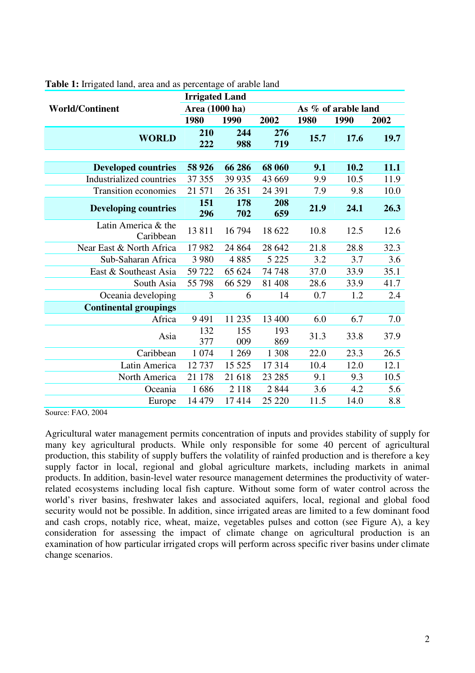|                                  | <b>Irrigated Land</b> |            |            |                     |      |      |
|----------------------------------|-----------------------|------------|------------|---------------------|------|------|
| <b>World/Continent</b>           | Area (1000 ha)        |            |            | As % of arable land |      |      |
|                                  | 1980                  | 1990       | 2002       | 1980                | 1990 | 2002 |
| <b>WORLD</b>                     | 210<br>222            | 244<br>988 | 276<br>719 | 15.7                | 17.6 | 19.7 |
|                                  |                       |            |            |                     |      |      |
| <b>Developed countries</b>       | 58 9 26               | 66 28 6    | 68 060     | 9.1                 | 10.2 | 11.1 |
| Industrialized countries         | 37 355                | 39 9 35    | 43 669     | 9.9                 | 10.5 | 11.9 |
| <b>Transition economies</b>      | 21 571                | 26 351     | 24 391     | 7.9                 | 9.8  | 10.0 |
| <b>Developing countries</b>      | 151<br>296            | 178<br>702 | 208<br>659 | 21.9                | 24.1 | 26.3 |
| Latin America & the<br>Caribbean | 13811                 | 16 794     | 18 622     | 10.8                | 12.5 | 12.6 |
| Near East & North Africa         | 17982                 | 24 8 6 4   | 28 642     | 21.8                | 28.8 | 32.3 |
| Sub-Saharan Africa               | 3 9 8 0               | 4885       | 5 2 2 5    | 3.2                 | 3.7  | 3.6  |
| East & Southeast Asia            | 59 722                | 65 624     | 74 748     | 37.0                | 33.9 | 35.1 |
| South Asia                       | 55 798                | 66 529     | 81 40 8    | 28.6                | 33.9 | 41.7 |
| Oceania developing               | 3                     | 6          | 14         | 0.7                 | 1.2  | 2.4  |
| <b>Continental groupings</b>     |                       |            |            |                     |      |      |
| Africa                           | 9491                  | 11 235     | 13 400     | 6.0                 | 6.7  | 7.0  |
| Asia                             | 132<br>377            | 155<br>009 | 193<br>869 | 31.3                | 33.8 | 37.9 |
| Caribbean                        | 1 0 7 4               | 1 2 6 9    | 1 3 0 8    | 22.0                | 23.3 | 26.5 |
| Latin America                    | 12737                 | 15 5 25    | 17314      | 10.4                | 12.0 | 12.1 |
| North America                    | 21 178                | 21 618     | 23 28 5    | 9.1                 | 9.3  | 10.5 |
| Oceania                          | 1686                  | 2 1 1 8    | 2 8 4 4    | 3.6                 | 4.2  | 5.6  |
| Europe                           | 14 4 79               | 17414      | 25 220     | 11.5                | 14.0 | 8.8  |

#### **Table 1:** Irrigated land, area and as percentage of arable land

Source: FAO, 2004

Agricultural water management permits concentration of inputs and provides stability of supply for many key agricultural products. While only responsible for some 40 percent of agricultural production, this stability of supply buffers the volatility of rainfed production and is therefore a key supply factor in local, regional and global agriculture markets, including markets in animal products. In addition, basin-level water resource management determines the productivity of waterrelated ecosystems including local fish capture. Without some form of water control across the world's river basins, freshwater lakes and associated aquifers, local, regional and global food security would not be possible. In addition, since irrigated areas are limited to a few dominant food and cash crops, notably rice, wheat, maize, vegetables pulses and cotton (see Figure A), a key consideration for assessing the impact of climate change on agricultural production is an examination of how particular irrigated crops will perform across specific river basins under climate change scenarios.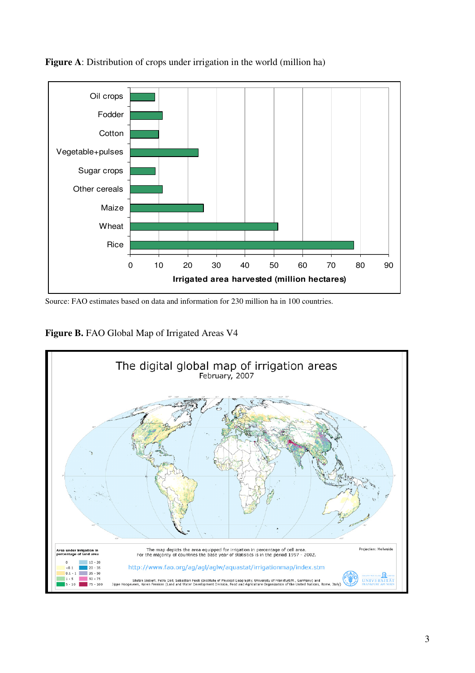

**Figure A**: Distribution of crops under irrigation in the world (million ha)

Source: FAO estimates based on data and information for 230 million ha in 100 countries.

Figure B. FAO Global Map of Irrigated Areas V4

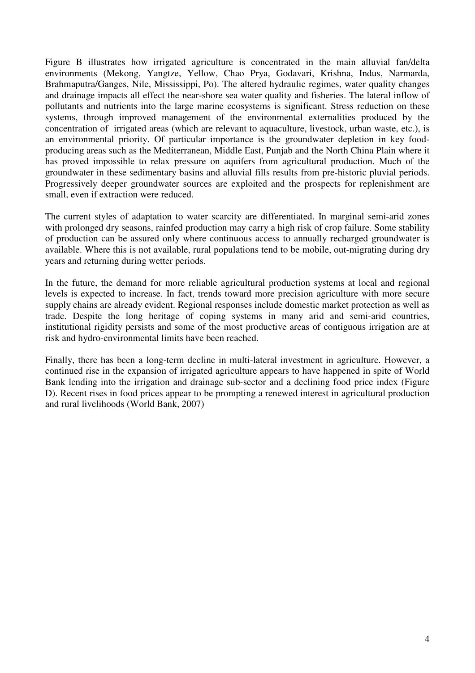Figure B illustrates how irrigated agriculture is concentrated in the main alluvial fan/delta environments (Mekong, Yangtze, Yellow, Chao Prya, Godavari, Krishna, Indus, Narmarda, Brahmaputra/Ganges, Nile, Mississippi, Po). The altered hydraulic regimes, water quality changes and drainage impacts all effect the near-shore sea water quality and fisheries. The lateral inflow of pollutants and nutrients into the large marine ecosystems is significant. Stress reduction on these systems, through improved management of the environmental externalities produced by the concentration of irrigated areas (which are relevant to aquaculture, livestock, urban waste, etc.), is an environmental priority. Of particular importance is the groundwater depletion in key foodproducing areas such as the Mediterranean, Middle East, Punjab and the North China Plain where it has proved impossible to relax pressure on aquifers from agricultural production. Much of the groundwater in these sedimentary basins and alluvial fills results from pre-historic pluvial periods. Progressively deeper groundwater sources are exploited and the prospects for replenishment are small, even if extraction were reduced.

The current styles of adaptation to water scarcity are differentiated. In marginal semi-arid zones with prolonged dry seasons, rainfed production may carry a high risk of crop failure. Some stability of production can be assured only where continuous access to annually recharged groundwater is available. Where this is not available, rural populations tend to be mobile, out-migrating during dry years and returning during wetter periods.

In the future, the demand for more reliable agricultural production systems at local and regional levels is expected to increase. In fact, trends toward more precision agriculture with more secure supply chains are already evident. Regional responses include domestic market protection as well as trade. Despite the long heritage of coping systems in many arid and semi-arid countries, institutional rigidity persists and some of the most productive areas of contiguous irrigation are at risk and hydro-environmental limits have been reached.

Finally, there has been a long-term decline in multi-lateral investment in agriculture. However, a continued rise in the expansion of irrigated agriculture appears to have happened in spite of World Bank lending into the irrigation and drainage sub-sector and a declining food price index (Figure D). Recent rises in food prices appear to be prompting a renewed interest in agricultural production and rural livelihoods (World Bank, 2007)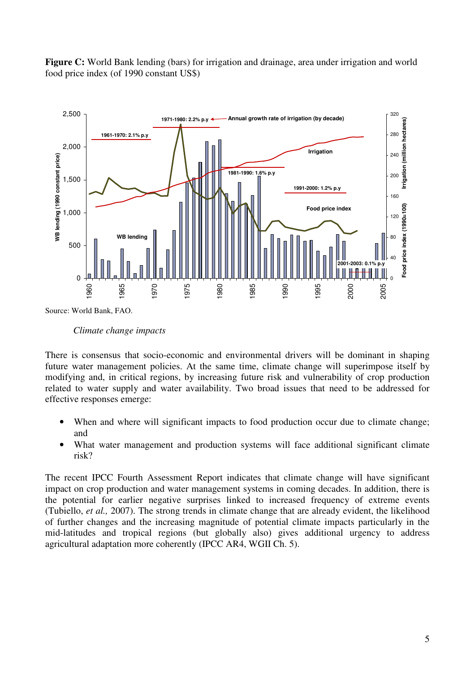Figure C: World Bank lending (bars) for irrigation and drainage, area under irrigation and world food price index (of 1990 constant US\$)



*Climate change impacts* 

There is consensus that socio-economic and environmental drivers will be dominant in shaping future water management policies. At the same time, climate change will superimpose itself by modifying and, in critical regions, by increasing future risk and vulnerability of crop production related to water supply and water availability. Two broad issues that need to be addressed for effective responses emerge:

- When and where will significant impacts to food production occur due to climate change; and
- What water management and production systems will face additional significant climate risk?

The recent IPCC Fourth Assessment Report indicates that climate change will have significant impact on crop production and water management systems in coming decades. In addition, there is the potential for earlier negative surprises linked to increased frequency of extreme events (Tubiello, *et al.,* 2007). The strong trends in climate change that are already evident, the likelihood of further changes and the increasing magnitude of potential climate impacts particularly in the mid-latitudes and tropical regions (but globally also) gives additional urgency to address agricultural adaptation more coherently (IPCC AR4, WGII Ch. 5).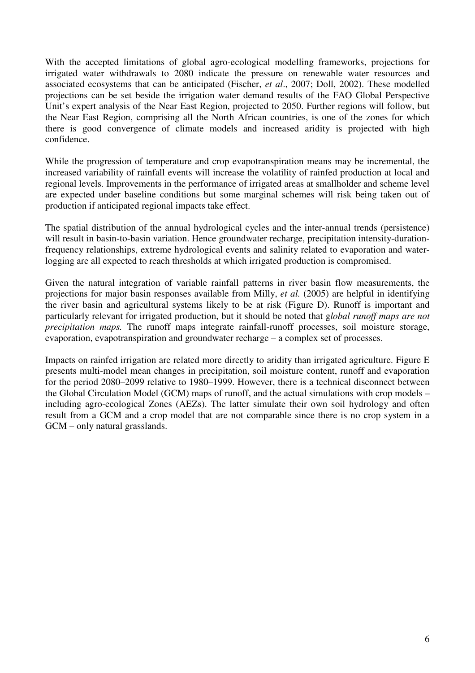With the accepted limitations of global agro-ecological modelling frameworks, projections for irrigated water withdrawals to 2080 indicate the pressure on renewable water resources and associated ecosystems that can be anticipated (Fischer, *et al*., 2007; Doll, 2002). These modelled projections can be set beside the irrigation water demand results of the FAO Global Perspective Unit's expert analysis of the Near East Region, projected to 2050. Further regions will follow, but the Near East Region, comprising all the North African countries, is one of the zones for which there is good convergence of climate models and increased aridity is projected with high confidence.

While the progression of temperature and crop evapotranspiration means may be incremental, the increased variability of rainfall events will increase the volatility of rainfed production at local and regional levels. Improvements in the performance of irrigated areas at smallholder and scheme level are expected under baseline conditions but some marginal schemes will risk being taken out of production if anticipated regional impacts take effect.

The spatial distribution of the annual hydrological cycles and the inter-annual trends (persistence) will result in basin-to-basin variation. Hence groundwater recharge, precipitation intensity-durationfrequency relationships, extreme hydrological events and salinity related to evaporation and waterlogging are all expected to reach thresholds at which irrigated production is compromised.

Given the natural integration of variable rainfall patterns in river basin flow measurements, the projections for major basin responses available from Milly, *et al.* (2005) are helpful in identifying the river basin and agricultural systems likely to be at risk (Figure D). Runoff is important and particularly relevant for irrigated production, but it should be noted that g*lobal runoff maps are not precipitation maps.* The runoff maps integrate rainfall-runoff processes, soil moisture storage, evaporation, evapotranspiration and groundwater recharge – a complex set of processes.

Impacts on rainfed irrigation are related more directly to aridity than irrigated agriculture. Figure E presents multi-model mean changes in precipitation, soil moisture content, runoff and evaporation for the period 2080–2099 relative to 1980–1999. However, there is a technical disconnect between the Global Circulation Model (GCM) maps of runoff, and the actual simulations with crop models – including agro-ecological Zones (AEZs). The latter simulate their own soil hydrology and often result from a GCM and a crop model that are not comparable since there is no crop system in a GCM – only natural grasslands.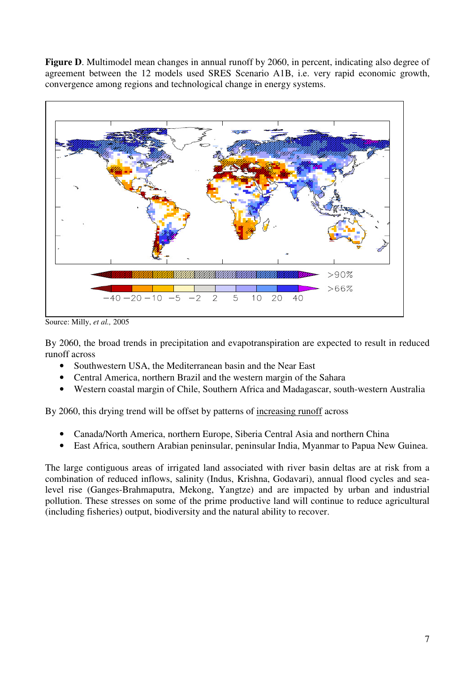Figure D. Multimodel mean changes in annual runoff by 2060, in percent, indicating also degree of agreement between the 12 models used SRES Scenario A1B, i.e. very rapid economic growth, convergence among regions and technological change in energy systems.



Source: Milly, *et al.,* 2005

By 2060, the broad trends in precipitation and evapotranspiration are expected to result in reduced runoff across

- Southwestern USA, the Mediterranean basin and the Near East
- Central America, northern Brazil and the western margin of the Sahara
- Western coastal margin of Chile, Southern Africa and Madagascar, south-western Australia

By 2060, this drying trend will be offset by patterns of increasing runoff across

- Canada/North America, northern Europe, Siberia Central Asia and northern China
- East Africa, southern Arabian peninsular, peninsular India, Myanmar to Papua New Guinea.

The large contiguous areas of irrigated land associated with river basin deltas are at risk from a combination of reduced inflows, salinity (Indus, Krishna, Godavari), annual flood cycles and sealevel rise (Ganges-Brahmaputra, Mekong, Yangtze) and are impacted by urban and industrial pollution. These stresses on some of the prime productive land will continue to reduce agricultural (including fisheries) output, biodiversity and the natural ability to recover.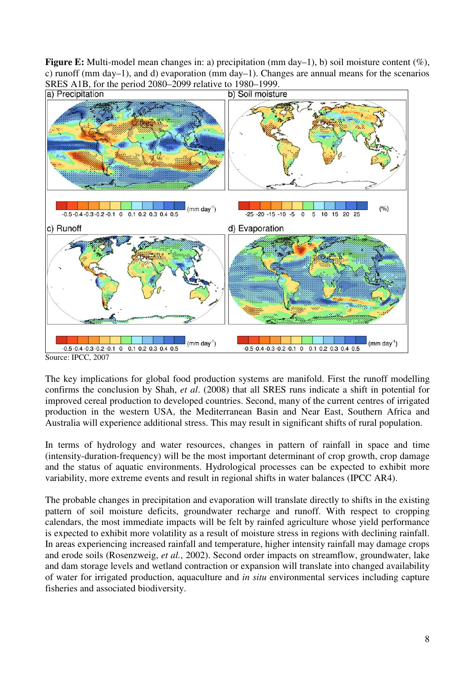**Figure E:** Multi-model mean changes in: a) precipitation (mm day–1), b) soil moisture content (%), c) runoff (mm day–1), and d) evaporation (mm day–1). Changes are annual means for the scenarios



Source: IPCC, 2007

The key implications for global food production systems are manifold. First the runoff modelling confirms the conclusion by Shah, *et al*. (2008) that all SRES runs indicate a shift in potential for improved cereal production to developed countries. Second, many of the current centres of irrigated production in the western USA, the Mediterranean Basin and Near East, Southern Africa and Australia will experience additional stress. This may result in significant shifts of rural population.

In terms of hydrology and water resources, changes in pattern of rainfall in space and time (intensity-duration-frequency) will be the most important determinant of crop growth, crop damage and the status of aquatic environments. Hydrological processes can be expected to exhibit more variability, more extreme events and result in regional shifts in water balances (IPCC AR4).

The probable changes in precipitation and evaporation will translate directly to shifts in the existing pattern of soil moisture deficits, groundwater recharge and runoff. With respect to cropping calendars, the most immediate impacts will be felt by rainfed agriculture whose yield performance is expected to exhibit more volatility as a result of moisture stress in regions with declining rainfall. In areas experiencing increased rainfall and temperature, higher intensity rainfall may damage crops and erode soils (Rosenzweig, *et al.*, 2002). Second order impacts on streamflow, groundwater, lake and dam storage levels and wetland contraction or expansion will translate into changed availability of water for irrigated production, aquaculture and *in situ* environmental services including capture fisheries and associated biodiversity.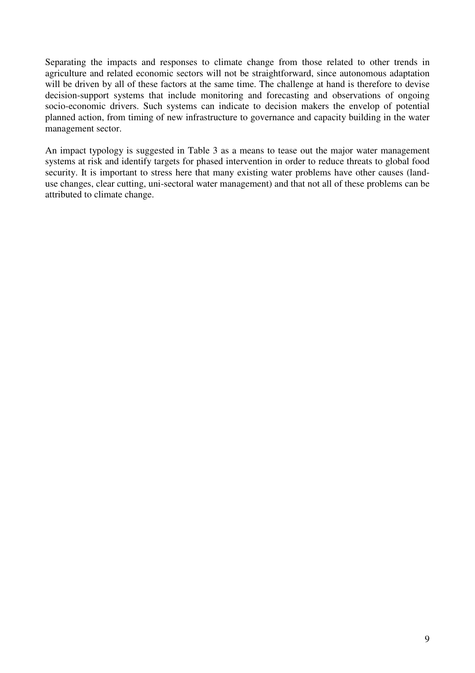Separating the impacts and responses to climate change from those related to other trends in agriculture and related economic sectors will not be straightforward, since autonomous adaptation will be driven by all of these factors at the same time. The challenge at hand is therefore to devise decision-support systems that include monitoring and forecasting and observations of ongoing socio-economic drivers. Such systems can indicate to decision makers the envelop of potential planned action, from timing of new infrastructure to governance and capacity building in the water management sector.

An impact typology is suggested in Table 3 as a means to tease out the major water management systems at risk and identify targets for phased intervention in order to reduce threats to global food security. It is important to stress here that many existing water problems have other causes (landuse changes, clear cutting, uni-sectoral water management) and that not all of these problems can be attributed to climate change.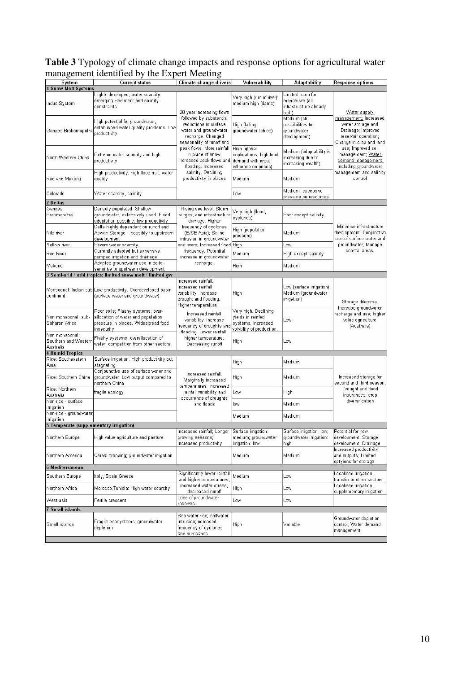## **Table 3** Typology of climate change impacts and response options for agricultural water management identified by the Expert Meeting

| System<br>1 Snow Melt Systems                              | Current status                                                                                                               | Climate change drivers                                                                                                      | Vulnerability                                                                                | Adaptability                                                           | Response options                                                                                                            |  |
|------------------------------------------------------------|------------------------------------------------------------------------------------------------------------------------------|-----------------------------------------------------------------------------------------------------------------------------|----------------------------------------------------------------------------------------------|------------------------------------------------------------------------|-----------------------------------------------------------------------------------------------------------------------------|--|
| Indus System                                               | Highly developed, water scarcity<br>emerging.Sediment and salinity<br>constraints                                            | 20 year increasing flows                                                                                                    | Very high (run of river):<br>medium high (dams)                                              | Limited room for<br>manoeuvre (all<br>infrastructure already<br>built) | Water supply                                                                                                                |  |
| Ganges Brahamaputra                                        | High potential for groundwater,<br>established water quality problems. Low<br>productivity                                   | followed by substantial<br>reductions in surface<br>water and groundwater<br>recharge. Changed<br>seasonality of runoff and | High (falling<br>groundwater tables)                                                         | Medium (still<br>possibilities for<br>groundwater<br>development)      | management: Increased<br>water storage and<br>Drainage; Improved<br>reservoir operation;<br>Change in crop and land         |  |
| North Western China                                        | Extreme water scarcity and high<br>productivity                                                                              | peak flows. More rainfall<br>in place of snow.<br>Increased peak flows and demand with great<br>flooding. Increased         | High (global<br>implications, high food<br>influence on prices)                              | Medium (adaptability is<br>increasing due to<br>increasing wealth)     | use; Improved soil<br>management; Water<br>demand management<br>including groundwater<br>management and salinity<br>control |  |
| Red and Mekong                                             | High productivity, high flood risk, water<br>quality                                                                         | salinity. Declining<br>productivity in places                                                                               | Medium                                                                                       | Medium                                                                 |                                                                                                                             |  |
| Colorado                                                   | Water scarcity, salinity                                                                                                     |                                                                                                                             | Low                                                                                          | Medium: excessive<br>pressure on resources                             |                                                                                                                             |  |
| 2 Deltas                                                   |                                                                                                                              |                                                                                                                             |                                                                                              |                                                                        |                                                                                                                             |  |
| Ganges<br>Brahmaputra                                      | Densely populated. Shallow<br>groundwater, extensively used. Flood<br>adaptation possible; low productivity                  | Rising sea level. Storm<br>surges, and infrastructure<br>damage. Higher                                                     | Very high (flood,<br>cγclones)                                                               | Poor except salinity                                                   | Minimise infrastructure<br>development; Conjunctive<br>use of surface water and<br>groundwater; Manage<br>coastal areas.    |  |
| Nile river                                                 | Delta highly dependent on runoff and<br>Aswan Storage - possibly to upstream<br>development                                  | frequency of cyclones<br>(E/SE Asia); Saline<br>intrusion in groundwater                                                    | High (population<br>pressure)                                                                | Medium                                                                 |                                                                                                                             |  |
| Yellow river                                               | Severe water scarcity                                                                                                        | and rivers; Increased flood High                                                                                            |                                                                                              | Low                                                                    |                                                                                                                             |  |
| Red River                                                  | Currently adapted but expensive<br>pumped irrigation and drainage                                                            | frequency. Potential<br>increase in groundwater                                                                             | Medium                                                                                       | High except salinity                                                   |                                                                                                                             |  |
| Mekong                                                     | Adapted groundwater use in delta -<br>sensitive to upstream development                                                      | recharge.<br>High                                                                                                           |                                                                                              | Medium                                                                 |                                                                                                                             |  |
|                                                            | 3 Semi-arid / arid tropics: limited snow melt / limited gw                                                                   |                                                                                                                             |                                                                                              |                                                                        |                                                                                                                             |  |
| continent                                                  | Monsoonal: Indian sub Low productivity. Overdeveloped basin<br>(surface water and groundwater)                               | Increased rainfall.<br>Increased rainfall<br>variability. Increase<br>drought and flooding.<br>Higher temperature.          | High                                                                                         | Low (surface irrigation);<br>Medium (groundwater<br>irrigation)        | Storage dilemma;<br>Increase groundwater<br>recharge and use; higher<br>value agriculture<br>(Australia)                    |  |
| Non monsoonal: sub-<br>Saharan Africa                      | Poor soils; Flashy systems; over-<br>allocation of water and population<br>pressure in places. Widespread food<br>insecurity | Increased rainfall<br>variability. Increase<br>frequency of droughts and<br>flooding. Lower rainfall,                       | Very high. Declining<br>yields in rainfed<br>systems. Increased<br>volatility of production. | Low                                                                    |                                                                                                                             |  |
| Non monsoonal:<br>Southern and Western<br>Australia        | Flashy systems; overallocation of<br>water, competition from other sectors                                                   | higher temperature.<br>Decreasing runoff                                                                                    | High                                                                                         | Low                                                                    |                                                                                                                             |  |
| <b>4 Humid Tropics</b>                                     |                                                                                                                              |                                                                                                                             |                                                                                              |                                                                        |                                                                                                                             |  |
| Rice: Southeastern<br>Asia                                 | Surface irrigation. High productivity but<br>stagnating                                                                      |                                                                                                                             | High                                                                                         | Medium                                                                 | Increased storage for<br>second and third season;<br>Drought and flood<br>insurances; crop<br>diversification               |  |
| Rice: Southern China                                       | Conjounctive use of surface water and<br>groundwater. Low output compared to<br>northern China                               | Increased rainfall.<br>Marginally increased<br>temperatures. Increased                                                      | High                                                                                         | Medium                                                                 |                                                                                                                             |  |
| Rice: Northern<br>Australia                                | fragile ecology                                                                                                              | rainfall variability and<br>occurrence of droughts                                                                          | Low                                                                                          | High                                                                   |                                                                                                                             |  |
| Non-rice - surface<br>irrigation<br>Non-rice - groundwater |                                                                                                                              | and floods                                                                                                                  | low                                                                                          | Medium                                                                 |                                                                                                                             |  |
| irrigation                                                 |                                                                                                                              |                                                                                                                             | Medium                                                                                       | Medium                                                                 |                                                                                                                             |  |
| 5 Temperate (supplementary irrigation)                     |                                                                                                                              |                                                                                                                             |                                                                                              |                                                                        |                                                                                                                             |  |
| Northern Europe                                            | High value agriculture and pasture                                                                                           | Increased rainfall; Longer Surface irrigation:<br>growing seasons;<br>Increased productivity                                | medium; groundwater<br>irrigation: low                                                       | Surface irrigation: low;<br>groundwater irrigation:<br>high            | Potential for new<br>development. Storage<br>development; Drainage                                                          |  |
| Northern America                                           | Cereal cropping; groundwater irrigation                                                                                      |                                                                                                                             | Medium                                                                                       | Medium                                                                 | Increased productivity<br>and outputs; Limited<br>optyions for storage                                                      |  |
| 6 Mediterranean                                            |                                                                                                                              |                                                                                                                             |                                                                                              |                                                                        |                                                                                                                             |  |
| Southern Europe                                            | Italy, Spain, Greece                                                                                                         | Significantly lower rainfall<br>and higher temperatures,                                                                    | Medium                                                                                       | Low                                                                    | Localised irrigation,<br>transfer to other sectors                                                                          |  |
| Northern Africa                                            | Morocco,Tunisia: High water scarcity                                                                                         | increased water stress,<br>decreased runoff                                                                                 | High                                                                                         | Low                                                                    | Localised irrigation,<br>supplementary irrigation                                                                           |  |
| West asia                                                  | Fertile crescent                                                                                                             | Loss of groundwater<br>reserves                                                                                             | Low                                                                                          | Low                                                                    |                                                                                                                             |  |
| 7 Small islands                                            |                                                                                                                              |                                                                                                                             |                                                                                              |                                                                        |                                                                                                                             |  |
| Small islands                                              | Fragile ecosystems; groundwater<br>depletion                                                                                 | Sea water rise; saltwater<br>intrusion; increased<br>frequency of cyclones<br>and hurricanes                                | High                                                                                         | Variable                                                               | Groundwater depletion<br>control; Water demand<br>management                                                                |  |
|                                                            |                                                                                                                              |                                                                                                                             |                                                                                              |                                                                        |                                                                                                                             |  |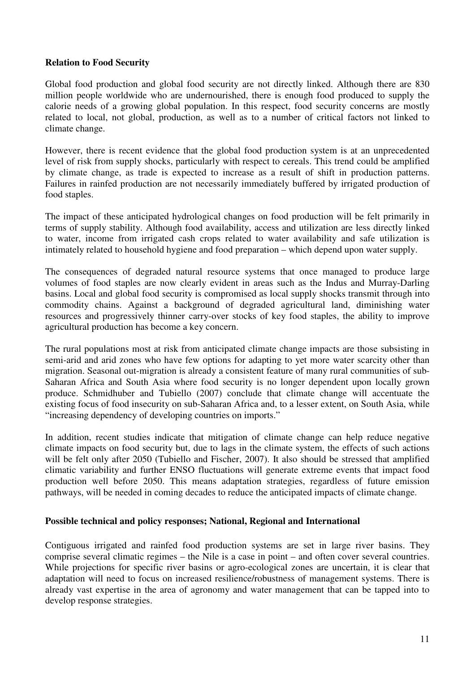## **Relation to Food Security**

Global food production and global food security are not directly linked. Although there are 830 million people worldwide who are undernourished, there is enough food produced to supply the calorie needs of a growing global population. In this respect, food security concerns are mostly related to local, not global, production, as well as to a number of critical factors not linked to climate change.

However, there is recent evidence that the global food production system is at an unprecedented level of risk from supply shocks, particularly with respect to cereals. This trend could be amplified by climate change, as trade is expected to increase as a result of shift in production patterns. Failures in rainfed production are not necessarily immediately buffered by irrigated production of food staples.

The impact of these anticipated hydrological changes on food production will be felt primarily in terms of supply stability. Although food availability, access and utilization are less directly linked to water, income from irrigated cash crops related to water availability and safe utilization is intimately related to household hygiene and food preparation – which depend upon water supply.

The consequences of degraded natural resource systems that once managed to produce large volumes of food staples are now clearly evident in areas such as the Indus and Murray-Darling basins. Local and global food security is compromised as local supply shocks transmit through into commodity chains. Against a background of degraded agricultural land, diminishing water resources and progressively thinner carry-over stocks of key food staples, the ability to improve agricultural production has become a key concern.

The rural populations most at risk from anticipated climate change impacts are those subsisting in semi-arid and arid zones who have few options for adapting to yet more water scarcity other than migration. Seasonal out-migration is already a consistent feature of many rural communities of sub-Saharan Africa and South Asia where food security is no longer dependent upon locally grown produce. Schmidhuber and Tubiello (2007) conclude that climate change will accentuate the existing focus of food insecurity on sub-Saharan Africa and, to a lesser extent, on South Asia, while "increasing dependency of developing countries on imports."

In addition, recent studies indicate that mitigation of climate change can help reduce negative climate impacts on food security but, due to lags in the climate system, the effects of such actions will be felt only after 2050 (Tubiello and Fischer, 2007). It also should be stressed that amplified climatic variability and further ENSO fluctuations will generate extreme events that impact food production well before 2050. This means adaptation strategies, regardless of future emission pathways, will be needed in coming decades to reduce the anticipated impacts of climate change.

#### **Possible technical and policy responses; National, Regional and International**

Contiguous irrigated and rainfed food production systems are set in large river basins. They comprise several climatic regimes – the Nile is a case in point – and often cover several countries. While projections for specific river basins or agro-ecological zones are uncertain, it is clear that adaptation will need to focus on increased resilience/robustness of management systems. There is already vast expertise in the area of agronomy and water management that can be tapped into to develop response strategies.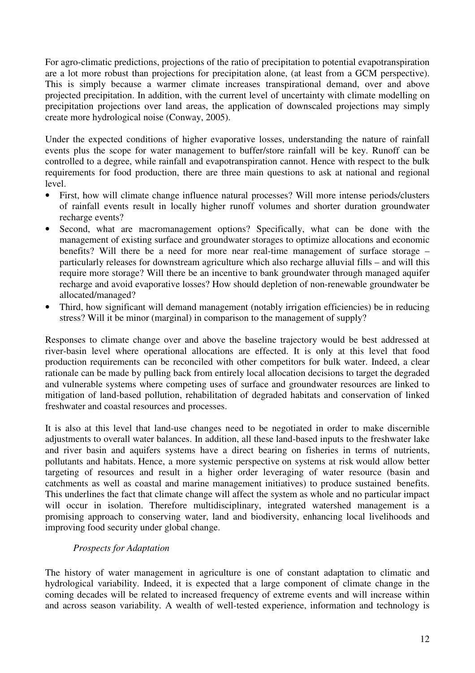For agro-climatic predictions, projections of the ratio of precipitation to potential evapotranspiration are a lot more robust than projections for precipitation alone, (at least from a GCM perspective). This is simply because a warmer climate increases transpirational demand, over and above projected precipitation. In addition, with the current level of uncertainty with climate modelling on precipitation projections over land areas, the application of downscaled projections may simply create more hydrological noise (Conway, 2005).

Under the expected conditions of higher evaporative losses, understanding the nature of rainfall events plus the scope for water management to buffer/store rainfall will be key. Runoff can be controlled to a degree, while rainfall and evapotranspiration cannot. Hence with respect to the bulk requirements for food production, there are three main questions to ask at national and regional level.

- First, how will climate change influence natural processes? Will more intense periods/clusters of rainfall events result in locally higher runoff volumes and shorter duration groundwater recharge events?
- Second, what are macromanagement options? Specifically, what can be done with the management of existing surface and groundwater storages to optimize allocations and economic benefits? Will there be a need for more near real-time management of surface storage – particularly releases for downstream agriculture which also recharge alluvial fills – and will this require more storage? Will there be an incentive to bank groundwater through managed aquifer recharge and avoid evaporative losses? How should depletion of non-renewable groundwater be allocated/managed?
- Third, how significant will demand management (notably irrigation efficiencies) be in reducing stress? Will it be minor (marginal) in comparison to the management of supply?

Responses to climate change over and above the baseline trajectory would be best addressed at river-basin level where operational allocations are effected. It is only at this level that food production requirements can be reconciled with other competitors for bulk water. Indeed, a clear rationale can be made by pulling back from entirely local allocation decisions to target the degraded and vulnerable systems where competing uses of surface and groundwater resources are linked to mitigation of land-based pollution, rehabilitation of degraded habitats and conservation of linked freshwater and coastal resources and processes.

It is also at this level that land-use changes need to be negotiated in order to make discernible adjustments to overall water balances. In addition, all these land-based inputs to the freshwater lake and river basin and aquifers systems have a direct bearing on fisheries in terms of nutrients, pollutants and habitats. Hence, a more systemic perspective on systems at risk would allow better targeting of resources and result in a higher order leveraging of water resource (basin and catchments as well as coastal and marine management initiatives) to produce sustained benefits. This underlines the fact that climate change will affect the system as whole and no particular impact will occur in isolation. Therefore multidisciplinary, integrated watershed management is a promising approach to conserving water, land and biodiversity, enhancing local livelihoods and improving food security under global change.

# *Prospects for Adaptation*

The history of water management in agriculture is one of constant adaptation to climatic and hydrological variability. Indeed, it is expected that a large component of climate change in the coming decades will be related to increased frequency of extreme events and will increase within and across season variability. A wealth of well-tested experience, information and technology is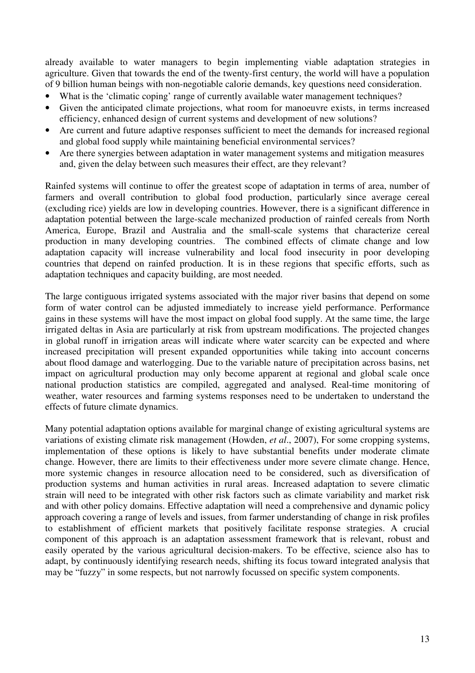already available to water managers to begin implementing viable adaptation strategies in agriculture. Given that towards the end of the twenty-first century, the world will have a population of 9 billion human beings with non-negotiable calorie demands, key questions need consideration.

- What is the 'climatic coping' range of currently available water management techniques?
- Given the anticipated climate projections, what room for manoeuvre exists, in terms increased efficiency, enhanced design of current systems and development of new solutions?
- Are current and future adaptive responses sufficient to meet the demands for increased regional and global food supply while maintaining beneficial environmental services?
- Are there synergies between adaptation in water management systems and mitigation measures and, given the delay between such measures their effect, are they relevant?

Rainfed systems will continue to offer the greatest scope of adaptation in terms of area, number of farmers and overall contribution to global food production, particularly since average cereal (excluding rice) yields are low in developing countries. However, there is a significant difference in adaptation potential between the large-scale mechanized production of rainfed cereals from North America, Europe, Brazil and Australia and the small-scale systems that characterize cereal production in many developing countries. The combined effects of climate change and low adaptation capacity will increase vulnerability and local food insecurity in poor developing countries that depend on rainfed production. It is in these regions that specific efforts, such as adaptation techniques and capacity building, are most needed.

The large contiguous irrigated systems associated with the major river basins that depend on some form of water control can be adjusted immediately to increase yield performance. Performance gains in these systems will have the most impact on global food supply. At the same time, the large irrigated deltas in Asia are particularly at risk from upstream modifications. The projected changes in global runoff in irrigation areas will indicate where water scarcity can be expected and where increased precipitation will present expanded opportunities while taking into account concerns about flood damage and waterlogging. Due to the variable nature of precipitation across basins, net impact on agricultural production may only become apparent at regional and global scale once national production statistics are compiled, aggregated and analysed. Real-time monitoring of weather, water resources and farming systems responses need to be undertaken to understand the effects of future climate dynamics.

Many potential adaptation options available for marginal change of existing agricultural systems are variations of existing climate risk management (Howden, *et al*., 2007), For some cropping systems, implementation of these options is likely to have substantial benefits under moderate climate change. However, there are limits to their effectiveness under more severe climate change. Hence, more systemic changes in resource allocation need to be considered, such as diversification of production systems and human activities in rural areas. Increased adaptation to severe climatic strain will need to be integrated with other risk factors such as climate variability and market risk and with other policy domains. Effective adaptation will need a comprehensive and dynamic policy approach covering a range of levels and issues, from farmer understanding of change in risk profiles to establishment of efficient markets that positively facilitate response strategies. A crucial component of this approach is an adaptation assessment framework that is relevant, robust and easily operated by the various agricultural decision-makers. To be effective, science also has to adapt, by continuously identifying research needs, shifting its focus toward integrated analysis that may be "fuzzy" in some respects, but not narrowly focussed on specific system components.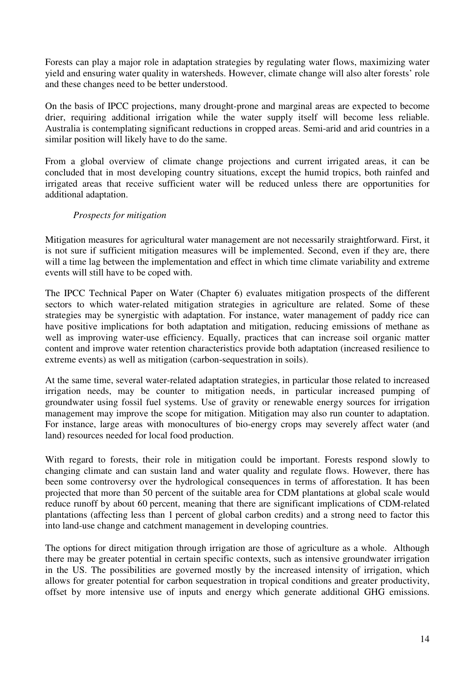Forests can play a major role in adaptation strategies by regulating water flows, maximizing water yield and ensuring water quality in watersheds. However, climate change will also alter forests' role and these changes need to be better understood.

On the basis of IPCC projections, many drought-prone and marginal areas are expected to become drier, requiring additional irrigation while the water supply itself will become less reliable. Australia is contemplating significant reductions in cropped areas. Semi-arid and arid countries in a similar position will likely have to do the same.

From a global overview of climate change projections and current irrigated areas, it can be concluded that in most developing country situations, except the humid tropics, both rainfed and irrigated areas that receive sufficient water will be reduced unless there are opportunities for additional adaptation.

# *Prospects for mitigation*

Mitigation measures for agricultural water management are not necessarily straightforward. First, it is not sure if sufficient mitigation measures will be implemented. Second, even if they are, there will a time lag between the implementation and effect in which time climate variability and extreme events will still have to be coped with.

The IPCC Technical Paper on Water (Chapter 6) evaluates mitigation prospects of the different sectors to which water-related mitigation strategies in agriculture are related. Some of these strategies may be synergistic with adaptation. For instance, water management of paddy rice can have positive implications for both adaptation and mitigation, reducing emissions of methane as well as improving water-use efficiency. Equally, practices that can increase soil organic matter content and improve water retention characteristics provide both adaptation (increased resilience to extreme events) as well as mitigation (carbon-sequestration in soils).

At the same time, several water-related adaptation strategies, in particular those related to increased irrigation needs, may be counter to mitigation needs, in particular increased pumping of groundwater using fossil fuel systems. Use of gravity or renewable energy sources for irrigation management may improve the scope for mitigation. Mitigation may also run counter to adaptation. For instance, large areas with monocultures of bio-energy crops may severely affect water (and land) resources needed for local food production.

With regard to forests, their role in mitigation could be important. Forests respond slowly to changing climate and can sustain land and water quality and regulate flows. However, there has been some controversy over the hydrological consequences in terms of afforestation. It has been projected that more than 50 percent of the suitable area for CDM plantations at global scale would reduce runoff by about 60 percent, meaning that there are significant implications of CDM-related plantations (affecting less than 1 percent of global carbon credits) and a strong need to factor this into land-use change and catchment management in developing countries.

The options for direct mitigation through irrigation are those of agriculture as a whole. Although there may be greater potential in certain specific contexts, such as intensive groundwater irrigation in the US. The possibilities are governed mostly by the increased intensity of irrigation, which allows for greater potential for carbon sequestration in tropical conditions and greater productivity, offset by more intensive use of inputs and energy which generate additional GHG emissions.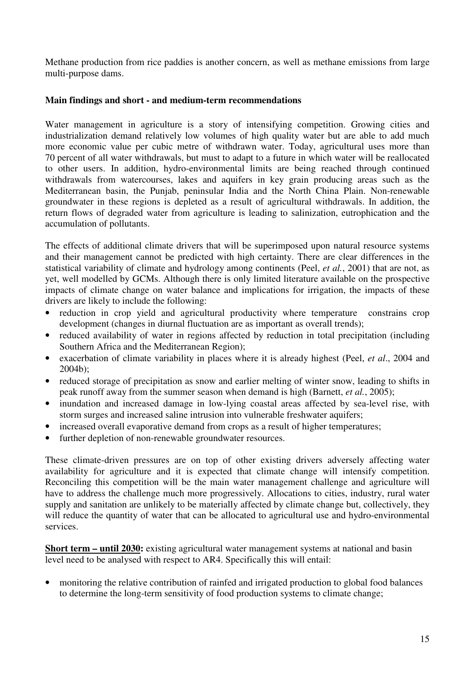Methane production from rice paddies is another concern, as well as methane emissions from large multi-purpose dams.

## **Main findings and short - and medium-term recommendations**

Water management in agriculture is a story of intensifying competition. Growing cities and industrialization demand relatively low volumes of high quality water but are able to add much more economic value per cubic metre of withdrawn water. Today, agricultural uses more than 70 percent of all water withdrawals, but must to adapt to a future in which water will be reallocated to other users. In addition, hydro-environmental limits are being reached through continued withdrawals from watercourses, lakes and aquifers in key grain producing areas such as the Mediterranean basin, the Punjab, peninsular India and the North China Plain. Non-renewable groundwater in these regions is depleted as a result of agricultural withdrawals. In addition, the return flows of degraded water from agriculture is leading to salinization, eutrophication and the accumulation of pollutants.

The effects of additional climate drivers that will be superimposed upon natural resource systems and their management cannot be predicted with high certainty. There are clear differences in the statistical variability of climate and hydrology among continents (Peel, *et al.*, 2001) that are not, as yet, well modelled by GCMs. Although there is only limited literature available on the prospective impacts of climate change on water balance and implications for irrigation, the impacts of these drivers are likely to include the following:

- reduction in crop yield and agricultural productivity where temperature constrains crop development (changes in diurnal fluctuation are as important as overall trends);
- reduced availability of water in regions affected by reduction in total precipitation (including Southern Africa and the Mediterranean Region);
- exacerbation of climate variability in places where it is already highest (Peel, *et al*., 2004 and 2004b);
- reduced storage of precipitation as snow and earlier melting of winter snow, leading to shifts in peak runoff away from the summer season when demand is high (Barnett, *et al.*, 2005);
- inundation and increased damage in low-lying coastal areas affected by sea-level rise, with storm surges and increased saline intrusion into vulnerable freshwater aquifers;
- increased overall evaporative demand from crops as a result of higher temperatures;
- further depletion of non-renewable groundwater resources.

These climate-driven pressures are on top of other existing drivers adversely affecting water availability for agriculture and it is expected that climate change will intensify competition. Reconciling this competition will be the main water management challenge and agriculture will have to address the challenge much more progressively. Allocations to cities, industry, rural water supply and sanitation are unlikely to be materially affected by climate change but, collectively, they will reduce the quantity of water that can be allocated to agricultural use and hydro-environmental services.

**Short term – until 2030:** existing agricultural water management systems at national and basin level need to be analysed with respect to AR4. Specifically this will entail:

• monitoring the relative contribution of rainfed and irrigated production to global food balances to determine the long-term sensitivity of food production systems to climate change;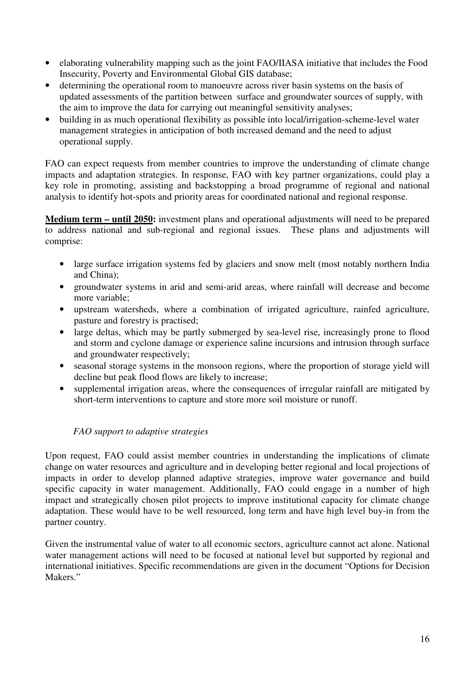- elaborating vulnerability mapping such as the joint FAO/IIASA initiative that includes the Food Insecurity, Poverty and Environmental Global GIS database;
- determining the operational room to manoeuvre across river basin systems on the basis of updated assessments of the partition between surface and groundwater sources of supply, with the aim to improve the data for carrying out meaningful sensitivity analyses;
- building in as much operational flexibility as possible into local/irrigation-scheme-level water management strategies in anticipation of both increased demand and the need to adjust operational supply.

FAO can expect requests from member countries to improve the understanding of climate change impacts and adaptation strategies. In response, FAO with key partner organizations, could play a key role in promoting, assisting and backstopping a broad programme of regional and national analysis to identify hot-spots and priority areas for coordinated national and regional response.

**Medium term – until 2050:** investment plans and operational adjustments will need to be prepared to address national and sub-regional and regional issues. These plans and adjustments will comprise:

- large surface irrigation systems fed by glaciers and snow melt (most notably northern India and China);
- groundwater systems in arid and semi-arid areas, where rainfall will decrease and become more variable;
- upstream watersheds, where a combination of irrigated agriculture, rainfed agriculture, pasture and forestry is practised;
- large deltas, which may be partly submerged by sea-level rise, increasingly prone to flood and storm and cyclone damage or experience saline incursions and intrusion through surface and groundwater respectively;
- seasonal storage systems in the monsoon regions, where the proportion of storage yield will decline but peak flood flows are likely to increase;
- supplemental irrigation areas, where the consequences of irregular rainfall are mitigated by short-term interventions to capture and store more soil moisture or runoff.

# *FAO support to adaptive strategies*

Upon request, FAO could assist member countries in understanding the implications of climate change on water resources and agriculture and in developing better regional and local projections of impacts in order to develop planned adaptive strategies, improve water governance and build specific capacity in water management. Additionally, FAO could engage in a number of high impact and strategically chosen pilot projects to improve institutional capacity for climate change adaptation. These would have to be well resourced, long term and have high level buy-in from the partner country.

Given the instrumental value of water to all economic sectors, agriculture cannot act alone. National water management actions will need to be focused at national level but supported by regional and international initiatives. Specific recommendations are given in the document "Options for Decision Makers<sup>"</sup>